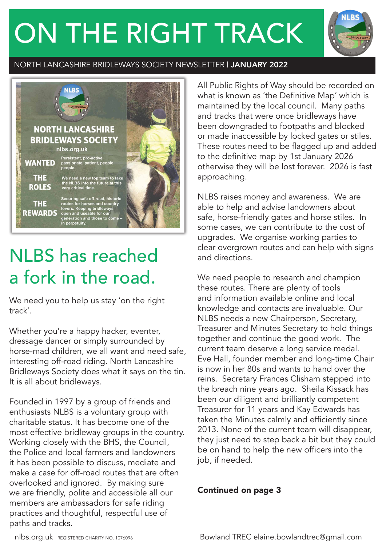# ON THE RIGHT TRACK



#### NORTH LANCASHIRE BRIDLEWAYS SOCIETY NEWSLETTER | JANUARY 2022



## NLBS has reached a fork in the road.

We need you to help us stay 'on the right track'.

Whether you're a happy hacker, eventer, dressage dancer or simply surrounded by horse-mad children, we all want and need safe, interesting off-road riding. North Lancashire Bridleways Society does what it says on the tin. It is all about bridleways.

Founded in 1997 by a group of friends and enthusiasts NLBS is a voluntary group with charitable status. It has become one of the most effective bridleway groups in the country. Working closely with the BHS, the Council, the Police and local farmers and landowners it has been possible to discuss, mediate and make a case for off-road routes that are often overlooked and ignored. By making sure we are friendly, polite and accessible all our members are ambassadors for safe riding practices and thoughtful, respectful use of paths and tracks.

All Public Rights of Way should be recorded on what is known as 'the Definitive Map' which is maintained by the local council. Many paths and tracks that were once bridleways have been downgraded to footpaths and blocked or made inaccessible by locked gates or stiles. These routes need to be flagged up and added to the definitive map by 1st January 2026 otherwise they will be lost forever. 2026 is fast approaching.

NLBS raises money and awareness. We are able to help and advise landowners about safe, horse-friendly gates and horse stiles. In some cases, we can contribute to the cost of upgrades. We organise working parties to clear overgrown routes and can help with signs and directions.

We need people to research and champion these routes. There are plenty of tools and information available online and local knowledge and contacts are invaluable. Our NLBS needs a new Chairperson, Secretary, Treasurer and Minutes Secretary to hold things together and continue the good work. The current team deserve a long service medal. Eve Hall, founder member and long-time Chair is now in her 80s and wants to hand over the reins. Secretary Frances Clisham stepped into the breach nine years ago. Sheila Kissack has been our diligent and brilliantly competent Treasurer for 11 years and Kay Edwards has taken the Minutes calmly and efficiently since 2013. None of the current team will disappear, they just need to step back a bit but they could be on hand to help the new officers into the job, if needed.

#### Continued on page 3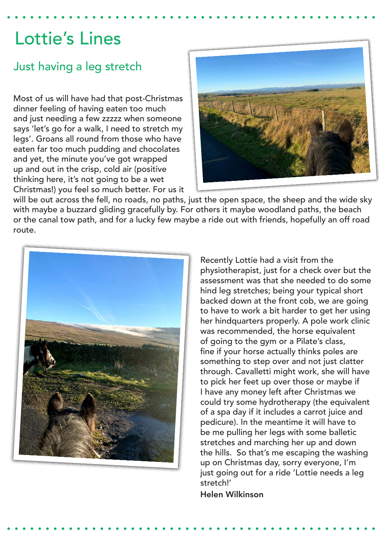### Lottie's Lines

### Just having a leg stretch

Most of us will have had that post-Christmas dinner feeling of having eaten too much and just needing a few zzzzz when someone says 'let's go for a walk, I need to stretch my legs'. Groans all round from those who have eaten far too much pudding and chocolates and yet, the minute you've got wrapped up and out in the crisp, cold air (positive thinking here, it's not going to be a wet Christmas!) you feel so much better. For us it



will be out across the fell, no roads, no paths, just the open space, the sheep and the wide sky with maybe a buzzard gliding gracefully by. For others it maybe woodland paths, the beach or the canal tow path, and for a lucky few maybe a ride out with friends, hopefully an off road route.



Recently Lottie had a visit from the physiotherapist, just for a check over but the assessment was that she needed to do some hind leg stretches; being your typical short backed down at the front cob, we are going to have to work a bit harder to get her using her hindquarters properly. A pole work clinic was recommended, the horse equivalent of going to the gym or a Pilate's class, fine if your horse actually thinks poles are something to step over and not just clatter through. Cavalletti might work, she will have to pick her feet up over those or maybe if I have any money left after Christmas we could try some hydrotherapy (the equivalent of a spa day if it includes a carrot juice and pedicure). In the meantime it will have to be me pulling her legs with some balletic stretches and marching her up and down the hills. So that's me escaping the washing up on Christmas day, sorry everyone, I'm just going out for a ride 'Lottie needs a leg stretch!'

Helen Wilkinson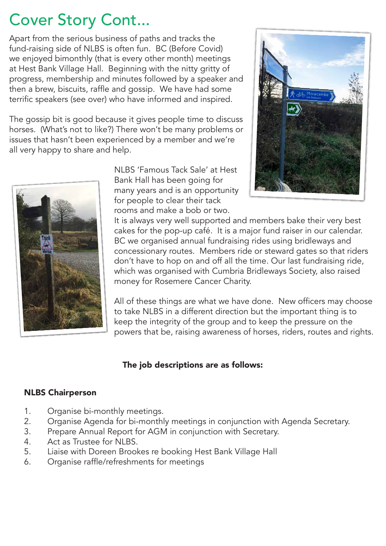### Cover Story Cont...

Apart from the serious business of paths and tracks the fund-raising side of NLBS is often fun. BC (Before Covid) we enjoyed bimonthly (that is every other month) meetings at Hest Bank Village Hall. Beginning with the nitty gritty of progress, membership and minutes followed by a speaker and then a brew, biscuits, raffle and gossip. We have had some terrific speakers (see over) who have informed and inspired.

The gossip bit is good because it gives people time to discuss horses. (What's not to like?) There won't be many problems or issues that hasn't been experienced by a member and we're all very happy to share and help.



NLBS 'Famous Tack Sale' at Hest Bank Hall has been going for many years and is an opportunity for people to clear their tack rooms and make a bob or two.



It is always very well supported and members bake their very best cakes for the pop-up café. It is a major fund raiser in our calendar. BC we organised annual fundraising rides using bridleways and concessionary routes. Members ride or steward gates so that riders don't have to hop on and off all the time. Our last fundraising ride, which was organised with Cumbria Bridleways Society, also raised money for Rosemere Cancer Charity.

All of these things are what we have done. New officers may choose to take NLBS in a different direction but the important thing is to keep the integrity of the group and to keep the pressure on the powers that be, raising awareness of horses, riders, routes and rights.

#### The job descriptions are as follows:

#### NLBS Chairperson

- 1. Organise bi-monthly meetings.
- 2. Organise Agenda for bi-monthly meetings in conjunction with Agenda Secretary.
- 3. Prepare Annual Report for AGM in conjunction with Secretary.
- 4. Act as Trustee for NLBS.
- 5. Liaise with Doreen Brookes re booking Hest Bank Village Hall
- 6. Organise raffle/refreshments for meetings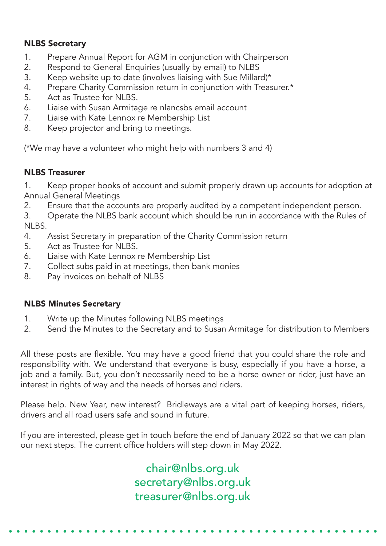#### NLBS Secretary

- 1. Prepare Annual Report for AGM in conjunction with Chairperson
- 2. Respond to General Enquiries (usually by email) to NLBS
- 3. Keep website up to date (involves liaising with Sue Millard)\*
- 4. Prepare Charity Commission return in conjunction with Treasurer.\*
- 5. Act as Trustee for NLBS.
- 6. Liaise with Susan Armitage re nlancsbs email account
- 7. Liaise with Kate Lennox re Membership List
- 8. Keep projector and bring to meetings.

(\*We may have a volunteer who might help with numbers 3 and 4)

#### NLBS Treasurer

1. Keep proper books of account and submit properly drawn up accounts for adoption at Annual General Meetings

2. Ensure that the accounts are properly audited by a competent independent person.

3. Operate the NLBS bank account which should be run in accordance with the Rules of NLBS.

- 4. Assist Secretary in preparation of the Charity Commission return
- 5. Act as Trustee for NLBS.
- 6. Liaise with Kate Lennox re Membership List
- 7. Collect subs paid in at meetings, then bank monies
- 8. Pay invoices on behalf of NLBS

#### NLBS Minutes Secretary

- 1. Write up the Minutes following NLBS meetings
- 2. Send the Minutes to the Secretary and to Susan Armitage for distribution to Members

All these posts are flexible. You may have a good friend that you could share the role and responsibility with. We understand that everyone is busy, especially if you have a horse, a job and a family. But, you don't necessarily need to be a horse owner or rider, just have an interest in rights of way and the needs of horses and riders.

Please help. New Year, new interest? Bridleways are a vital part of keeping horses, riders, drivers and all road users safe and sound in future.

If you are interested, please get in touch before the end of January 2022 so that we can plan our next steps. The current office holders will step down in May 2022.

> chair@nlbs.org.uk secretary@nlbs.org.uk treasurer@nlbs.org.uk